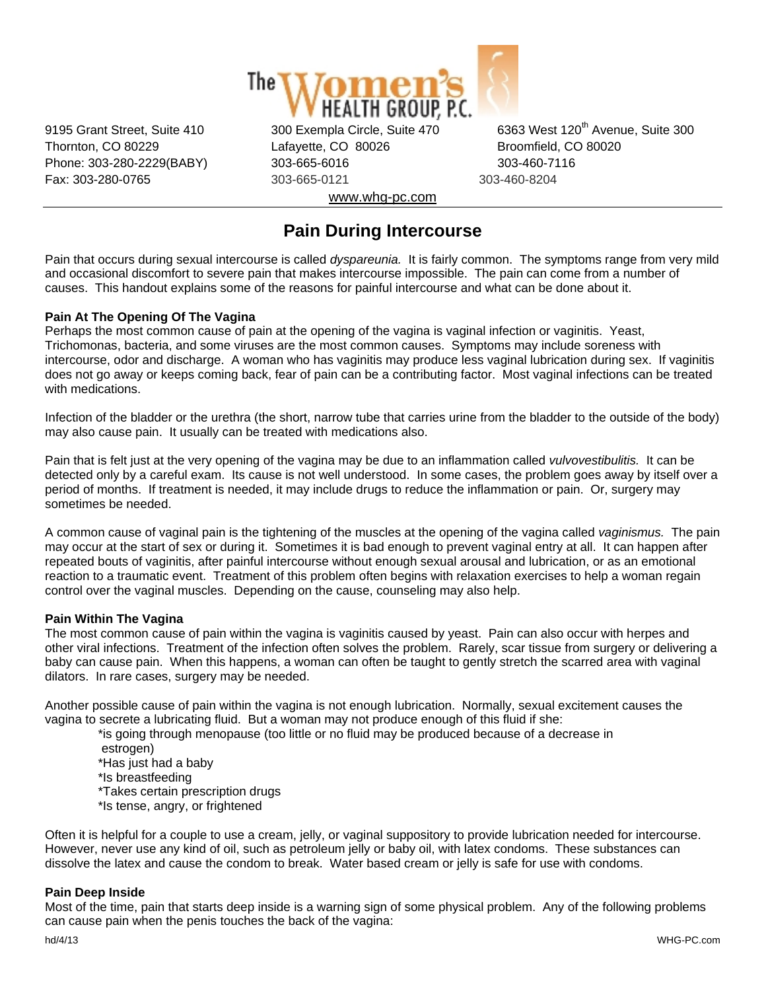

Thornton, CO 80229 Lafayette, CO 80026 Broomfield, CO 80020 Phone: 303-280-2229(BABY) 303-665-6016 303-460-7116 Fax: 303-280-0765 303-665-0121 303-460-8204 www.whg-pc.com

9195 Grant Street, Suite 410 300 Exempla Circle, Suite 470 6363 West 120<sup>th</sup> Avenue, Suite 300

# **Pain During Intercourse**

Pain that occurs during sexual intercourse is called *dyspareunia.* It is fairly common. The symptoms range from very mild and occasional discomfort to severe pain that makes intercourse impossible. The pain can come from a number of causes. This handout explains some of the reasons for painful intercourse and what can be done about it.

## **Pain At The Opening Of The Vagina**

Perhaps the most common cause of pain at the opening of the vagina is vaginal infection or vaginitis. Yeast, Trichomonas, bacteria, and some viruses are the most common causes. Symptoms may include soreness with intercourse, odor and discharge. A woman who has vaginitis may produce less vaginal lubrication during sex. If vaginitis does not go away or keeps coming back, fear of pain can be a contributing factor. Most vaginal infections can be treated with medications.

Infection of the bladder or the urethra (the short, narrow tube that carries urine from the bladder to the outside of the body) may also cause pain. It usually can be treated with medications also.

Pain that is felt just at the very opening of the vagina may be due to an inflammation called *vulvovestibulitis.* It can be detected only by a careful exam. Its cause is not well understood. In some cases, the problem goes away by itself over a period of months. If treatment is needed, it may include drugs to reduce the inflammation or pain. Or, surgery may sometimes be needed.

A common cause of vaginal pain is the tightening of the muscles at the opening of the vagina called *vaginismus.* The pain may occur at the start of sex or during it. Sometimes it is bad enough to prevent vaginal entry at all. It can happen after repeated bouts of vaginitis, after painful intercourse without enough sexual arousal and lubrication, or as an emotional reaction to a traumatic event. Treatment of this problem often begins with relaxation exercises to help a woman regain control over the vaginal muscles. Depending on the cause, counseling may also help.

## **Pain Within The Vagina**

The most common cause of pain within the vagina is vaginitis caused by yeast. Pain can also occur with herpes and other viral infections. Treatment of the infection often solves the problem. Rarely, scar tissue from surgery or delivering a baby can cause pain. When this happens, a woman can often be taught to gently stretch the scarred area with vaginal dilators. In rare cases, surgery may be needed.

Another possible cause of pain within the vagina is not enough lubrication. Normally, sexual excitement causes the vagina to secrete a lubricating fluid. But a woman may not produce enough of this fluid if she:

 \*is going through menopause (too little or no fluid may be produced because of a decrease in estrogen)

\*Has just had a baby

\*Is breastfeeding

\*Takes certain prescription drugs

\*Is tense, angry, or frightened

Often it is helpful for a couple to use a cream, jelly, or vaginal suppository to provide lubrication needed for intercourse. However, never use any kind of oil, such as petroleum jelly or baby oil, with latex condoms. These substances can dissolve the latex and cause the condom to break. Water based cream or jelly is safe for use with condoms.

#### **Pain Deep Inside**

Most of the time, pain that starts deep inside is a warning sign of some physical problem. Any of the following problems can cause pain when the penis touches the back of the vagina: